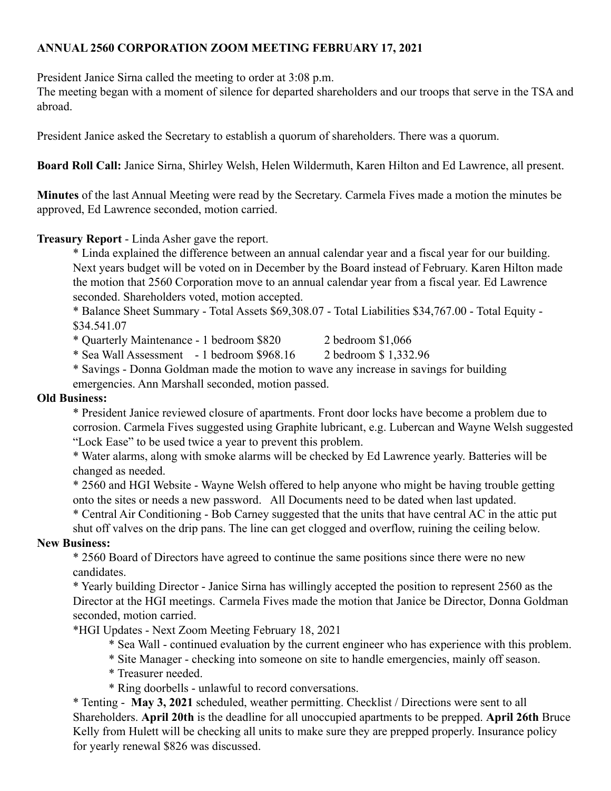## **ANNUAL 2560 CORPORATION ZOOM MEETING FEBRUARY 17, 2021**

President Janice Sirna called the meeting to order at 3:08 p.m.

The meeting began with a moment of silence for departed shareholders and our troops that serve in the TSA and abroad.

President Janice asked the Secretary to establish a quorum of shareholders. There was a quorum.

**Board Roll Call:** Janice Sirna, Shirley Welsh, Helen Wildermuth, Karen Hilton and Ed Lawrence, all present.

**Minutes** of the last Annual Meeting were read by the Secretary. Carmela Fives made a motion the minutes be approved, Ed Lawrence seconded, motion carried.

## **Treasury Report** - Linda Asher gave the report.

\* Linda explained the difference between an annual calendar year and a fiscal year for our building. Next years budget will be voted on in December by the Board instead of February. Karen Hilton made the motion that 2560 Corporation move to an annual calendar year from a fiscal year. Ed Lawrence seconded. Shareholders voted, motion accepted.

\* Balance Sheet Summary - Total Assets \$69,308.07 - Total Liabilities \$34,767.00 - Total Equity - \$34.541.07

\* Quarterly Maintenance - 1 bedroom \$820 2 bedroom \$1,066

\* Sea Wall Assessment - 1 bedroom \$968.16 2 bedroom \$ 1,332.96

\* Savings - Donna Goldman made the motion to wave any increase in savings for building emergencies. Ann Marshall seconded, motion passed.

## **Old Business:**

\* President Janice reviewed closure of apartments. Front door locks have become a problem due to corrosion. Carmela Fives suggested using Graphite lubricant, e.g. Lubercan and Wayne Welsh suggested "Lock Ease" to be used twice a year to prevent this problem.

\* Water alarms, along with smoke alarms will be checked by Ed Lawrence yearly. Batteries will be changed as needed.

\* 2560 and HGI Website - Wayne Welsh offered to help anyone who might be having trouble getting onto the sites or needs a new password. All Documents need to be dated when last updated.

\* Central Air Conditioning - Bob Carney suggested that the units that have central AC in the attic put shut off valves on the drip pans. The line can get clogged and overflow, ruining the ceiling below.

## **New Business:**

\* 2560 Board of Directors have agreed to continue the same positions since there were no new candidates.

\* Yearly building Director - Janice Sirna has willingly accepted the position to represent 2560 as the Director at the HGI meetings. Carmela Fives made the motion that Janice be Director, Donna Goldman seconded, motion carried.

\*HGI Updates - Next Zoom Meeting February 18, 2021

\* Sea Wall - continued evaluation by the current engineer who has experience with this problem.

\* Site Manager - checking into someone on site to handle emergencies, mainly off season.

\* Treasurer needed.

\* Ring doorbells - unlawful to record conversations.

\* Tenting - **May 3, 2021** scheduled, weather permitting. Checklist / Directions were sent to all Shareholders. **April 20th** is the deadline for all unoccupied apartments to be prepped. **April 26th** Bruce Kelly from Hulett will be checking all units to make sure they are prepped properly. Insurance policy for yearly renewal \$826 was discussed.